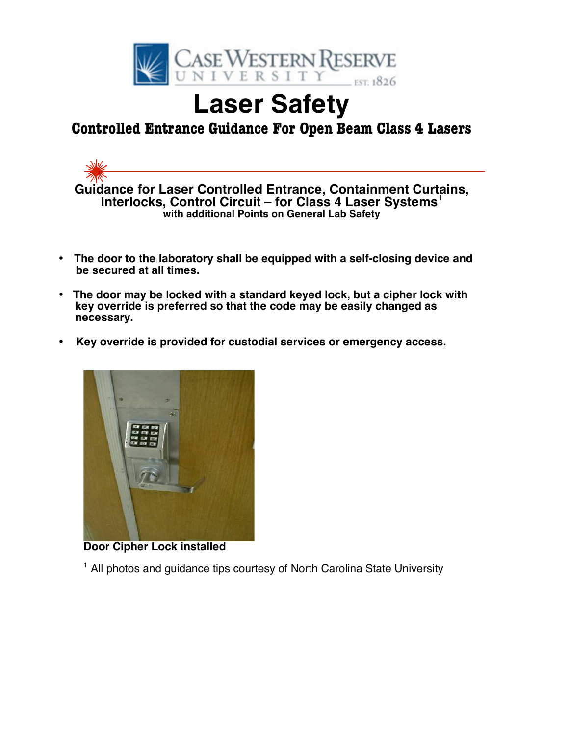

# **Laser Safety**

# **Controlled Entrance Guidance For Open Beam Class 4 Lasers**



- **The door to the laboratory shall be equipped with a self-closing device and be secured at all times.**
- • **The door may be locked with a standard keyed lock, but a cipher lock with key override is preferred so that the code may be easily changed as necessary.**
- • **Key override is provided for custodial services or emergency access.**



**Door Cipher Lock installed**

<sup>1</sup> All photos and guidance tips courtesy of North Carolina State University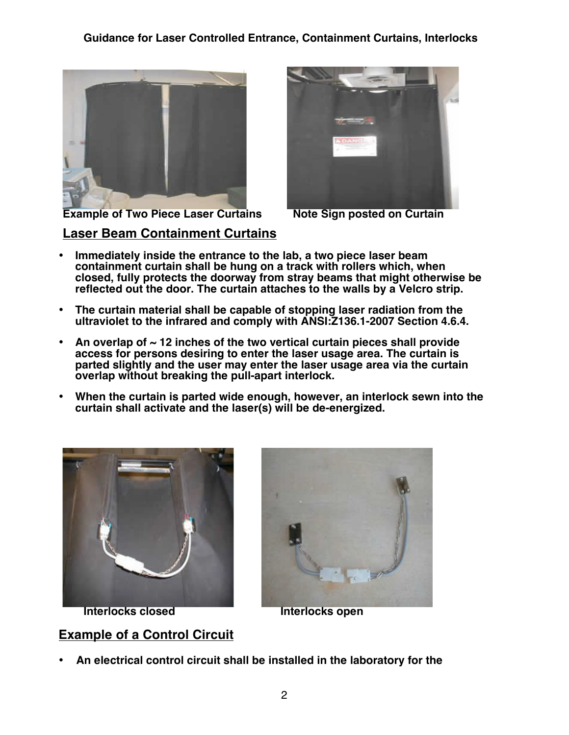

**Laser Beam Containment Curtains**



**Example of Two Piece Laser Curtains •• Note Sign posted on Curtain** 

- **Immediately inside the entrance to the lab, a two piece laser beam containment curtain shall be hung on a track with rollers which, when closed, fully protects the doorway from stray beams that might otherwise be reflected out the door. The curtain attaches to the walls by a Velcro strip.**
- **The curtain material shall be capable of stopping laser radiation from the ultraviolet to the infrared and comply with ANSI:Z136.1-2007 Section 4.6.4.**
- **An overlap of ~ 12 inches of the two vertical curtain pieces shall provide access for persons desiring to enter the laser usage area. The curtain is parted slightly and the user may enter the laser usage area via the curtain overlap without breaking the pull-apart interlock.**
- **When the curtain is parted wide enough, however, an interlock sewn into the curtain shall activate and the laser(s) will be de-energized.**



**Interlocks closed The Interlocks open** 

**Example of a Control Circuit**



• **An electrical control circuit shall be installed in the laboratory for the**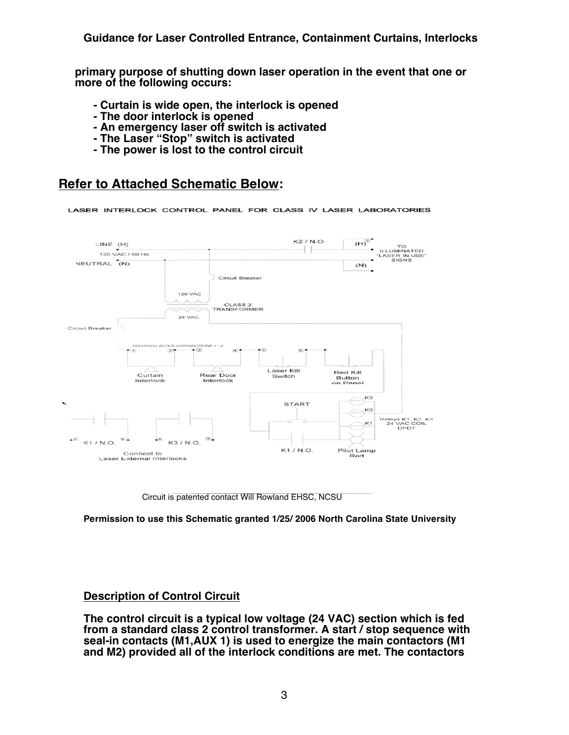**primary purpose of shutting down laser operation in the event that one or more of the following occurs:**

- **- Curtain is wide open, the interlock is opened**
- **- The door interlock is opened**
- **- An emergency laser off switch is activated**
- **- The Laser "Stop" switch is activated**
- **- The power is lost to the control circuit**

# **Refer to Attached Schematic Below:**

LASER INTERLOCK CONTROL PANEL FOR CLASS IV LASER LABORATORIES



Circuit is patented contact Will Rowland EHSC, NCSU

**Permission to use this Schematic granted 1/25/ 2006 North Carolina State University** 

# **Description of Control Circuit**

**The control circuit is a typical low voltage (24 VAC) section which is fed from a standard class 2 control transformer. A start / stop sequence with seal-in contacts (M1,AUX 1) is used to energize the main contactors (M1 and M2) provided all of the interlock conditions are met. The contactors**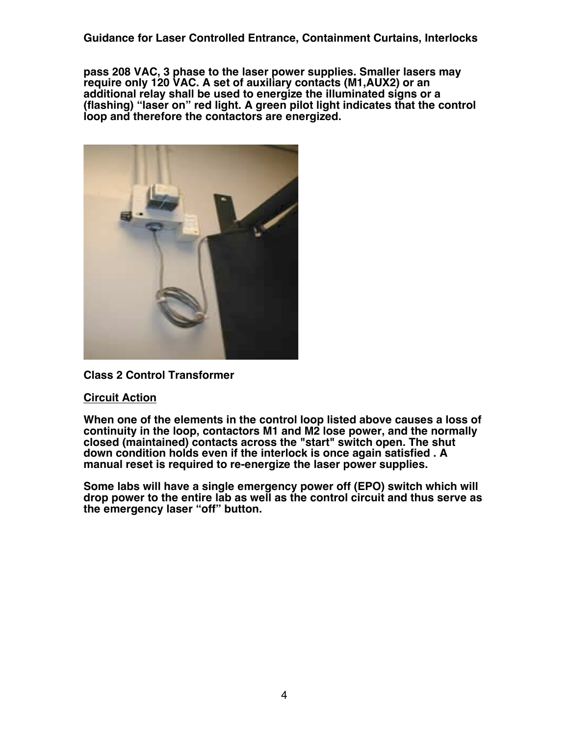**Guidance for Laser Controlled Entrance, Containment Curtains, Interlocks**

**pass 208 VAC, 3 phase to the laser power supplies. Smaller lasers may require only 120 VAC. A set of auxiliary contacts (M1,AUX2) or an additional relay shall be used to energize the illuminated signs or a (flashing) "laser on" red light. A green pilot light indicates that the control loop and therefore the contactors are energized.**



## **Class 2 Control Transformer**

## **Circuit Action**

**When one of the elements in the control loop listed above causes a loss of continuity in the loop, contactors M1 and M2 lose power, and the normally closed (maintained) contacts across the "start" switch open. The shut down condition holds even if the interlock is once again satisfied . A manual reset is required to re-energize the laser power supplies.**

**Some labs will have a single emergency power off (EPO) switch which will drop power to the entire lab as well as the control circuit and thus serve as the emergency laser "off" button.**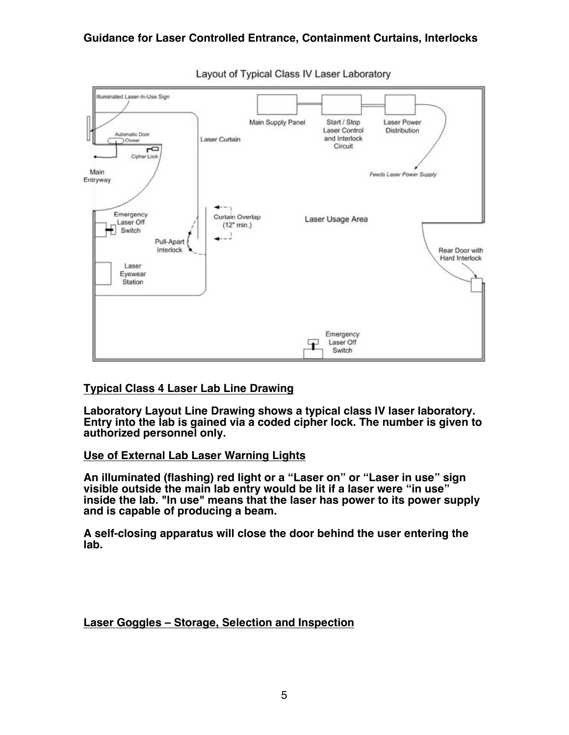

Layout of Typical Class IV Laser Laboratory

# **Typical Class 4 Laser Lab Line Drawing**

**Laboratory Layout Line Drawing shows a typical class IV laser laboratory. Entry into the lab is gained via a coded cipher lock. The number is given to authorized personnel only.** 

# **Use of External Lab Laser Warning Lights**

**An illuminated (flashing) red light or a "Laser on" or "Laser in use" sign visible outside the main lab entry would be lit if a laser were "in use" inside the lab. "In use" means that the laser has power to its power supply and is capable of producing a beam.** 

**A self-closing apparatus will close the door behind the user entering the lab.** 

# **Laser Goggles – Storage, Selection and Inspection**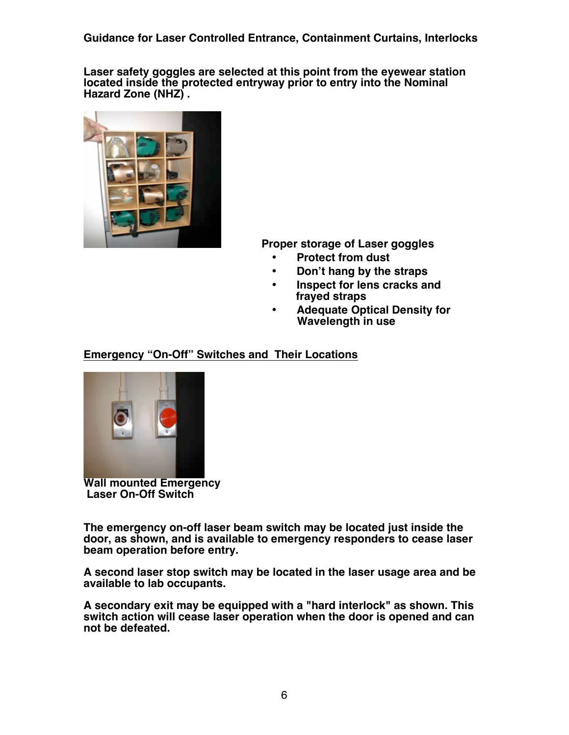**Guidance for Laser Controlled Entrance, Containment Curtains, Interlocks**

**Laser safety goggles are selected at this point from the eyewear station located inside the protected entryway prior to entry into the Nominal Hazard Zone (NHZ) .**



 **Proper storage of Laser goggles**

- • **Protect from dust**
- • **Don't hang by the straps**
- • **Inspect for lens cracks and frayed straps**
- • **Adequate Optical Density for Wavelength in use**

# **Emergency "On-Off" Switches and Their Locations**



**Wall mounted Emergency Laser On-Off Switch**

**The emergency on-off laser beam switch may be located just inside the door, as shown, and is available to emergency responders to cease laser beam operation before entry.** 

**A second laser stop switch may be located in the laser usage area and be available to lab occupants.**

**A secondary exit may be equipped with a "hard interlock" as shown. This switch action will cease laser operation when the door is opened and can not be defeated.**